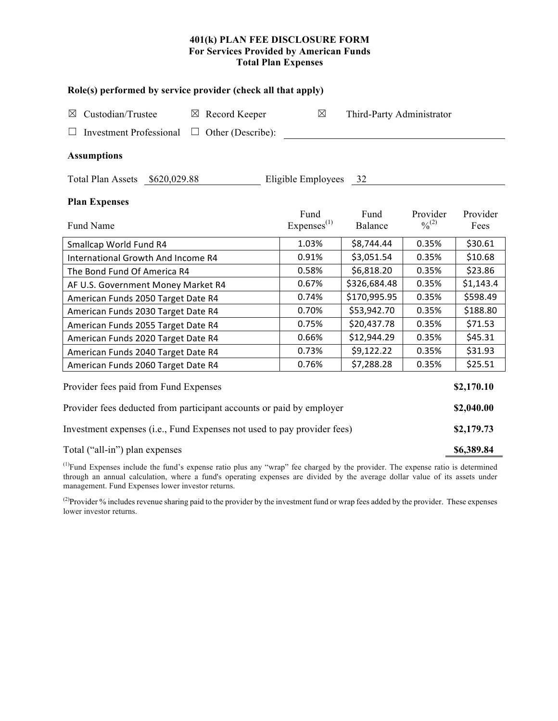### **401(k) PLAN FEE DISCLOSURE FORM For Services Provided by American Funds Total Plan Expenses**

| Role(s) performed by service provider (check all that apply)                                                                   |                                |                           |                         |                  |  |  |  |  |  |
|--------------------------------------------------------------------------------------------------------------------------------|--------------------------------|---------------------------|-------------------------|------------------|--|--|--|--|--|
| Custodian/Trustee<br>$\boxtimes$ Record Keeper<br>$\boxtimes$<br><b>Investment Professional</b><br>Other (Describe):<br>$\Box$ | $\boxtimes$                    | Third-Party Administrator |                         |                  |  |  |  |  |  |
| <b>Assumptions</b>                                                                                                             |                                |                           |                         |                  |  |  |  |  |  |
| Total Plan Assets \$620,029.88                                                                                                 | Eligible Employees 32          |                           |                         |                  |  |  |  |  |  |
| <b>Plan Expenses</b><br>Fund Name                                                                                              | Fund<br>Express <sup>(1)</sup> | Fund<br>Balance           | Provider<br>$0/0^{(2)}$ | Provider<br>Fees |  |  |  |  |  |
| Smallcap World Fund R4                                                                                                         | 1.03%                          | \$8,744.44                | 0.35%                   | \$30.61          |  |  |  |  |  |
| International Growth And Income R4                                                                                             | 0.91%                          | \$3,051.54                | 0.35%                   | \$10.68          |  |  |  |  |  |
| The Bond Fund Of America R4                                                                                                    | 0.58%                          | \$6,818.20                | 0.35%                   | \$23.86          |  |  |  |  |  |
| AF U.S. Government Money Market R4                                                                                             | 0.67%                          | \$326,684.48              | 0.35%                   | \$1,143.4        |  |  |  |  |  |
| American Funds 2050 Target Date R4                                                                                             | 0.74%                          | \$170,995.95              | 0.35%                   | \$598.49         |  |  |  |  |  |
| American Funds 2030 Target Date R4                                                                                             | 0.70%                          | \$53,942.70               | 0.35%                   | \$188.80         |  |  |  |  |  |
| American Funds 2055 Target Date R4                                                                                             | 0.75%                          | \$20,437.78               | 0.35%                   | \$71.53          |  |  |  |  |  |
| American Funds 2020 Target Date R4                                                                                             | 0.66%                          | \$12,944.29               | 0.35%                   | \$45.31          |  |  |  |  |  |
| American Funds 2040 Target Date R4                                                                                             | 0.73%                          | \$9,122.22                | 0.35%                   | \$31.93          |  |  |  |  |  |
| American Funds 2060 Target Date R4                                                                                             | 0.76%                          | \$7,288.28                | 0.35%                   | \$25.51          |  |  |  |  |  |
| Provider fees paid from Fund Expenses                                                                                          |                                |                           |                         |                  |  |  |  |  |  |
| Provider fees deducted from participant accounts or paid by employer                                                           |                                |                           |                         |                  |  |  |  |  |  |
| Investment expenses (i.e., Fund Expenses not used to pay provider fees)                                                        |                                |                           |                         |                  |  |  |  |  |  |
| Total ("all-in") plan expenses                                                                                                 |                                |                           |                         |                  |  |  |  |  |  |

 $<sup>(1)</sup>Fund Expresses include the fund's expense ratio plus any "wrap" fee charged by the provider. The expense ratio is determined$ </sup> through an annual calculation, where a fund's operating expenses are divided by the average dollar value of its assets under management. Fund Expenses lower investor returns.

<sup>(2)</sup>Provider % includes revenue sharing paid to the provider by the investment fund or wrap fees added by the provider. These expenses lower investor returns.